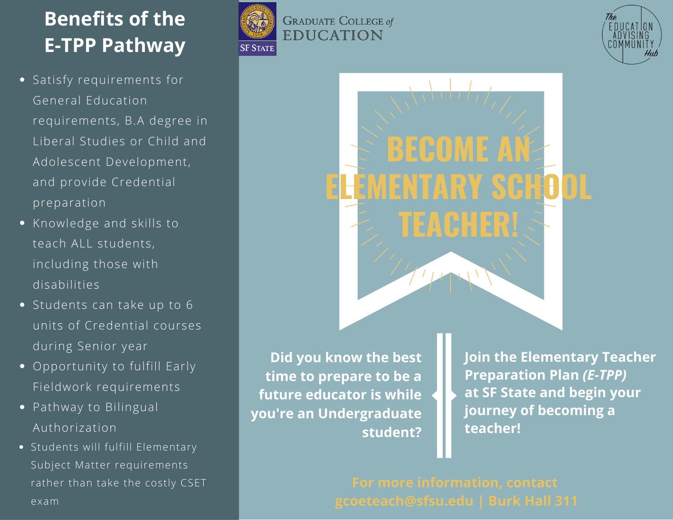## **Benefits of the E-TPP Pathway**

- Satisfy requirements for General Education requirements, B.A degree in Liberal Studies or Child and Adolescent Development, and provide Credential preparation
- Knowledge and skills to teach ALL students, including those with disabilities
- Students can take up to 6 units of Credential courses during Senior year
- Opportunity to fulfill Early Fieldwork requirements
- Pathway to Bilingual Authorization
- Students will fulfill Elementary Subject Matter requirements rather than take the costly CSET







**Did you know the best time to prepare to be a future educator is while you're an Undergraduate student?** **Join the Elementary Teacher Preparation Plan** *(E-TPP)* **at SF State and begin your journey of becoming a teacher!**